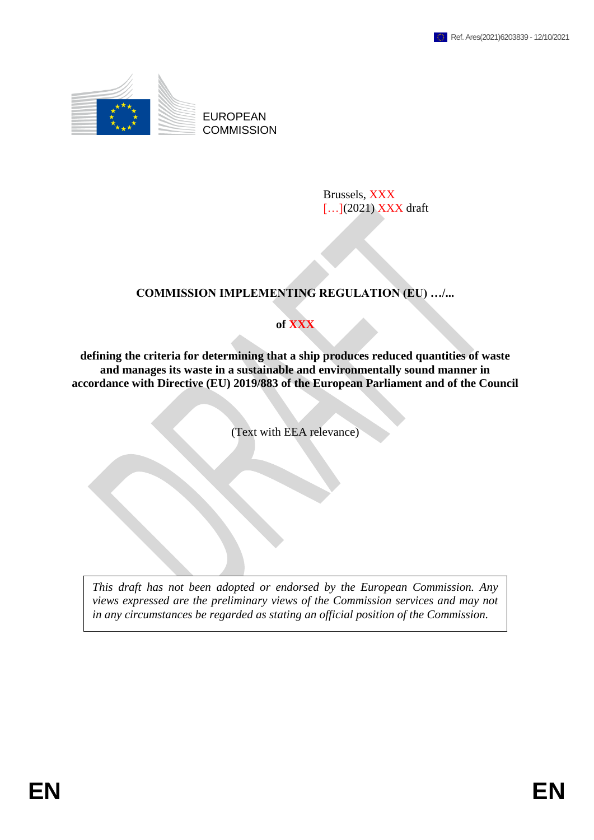

EUROPEAN **COMMISSION** 

> Brussels, XXX [...](2021) XXX draft

# **COMMISSION IMPLEMENTING REGULATION (EU) …/...**

## **of XXX**

**defining the criteria for determining that a ship produces reduced quantities of waste and manages its waste in a sustainable and environmentally sound manner in accordance with Directive (EU) 2019/883 of the European Parliament and of the Council**

(Text with EEA relevance)

*This draft has not been adopted or endorsed by the European Commission. Any views expressed are the preliminary views of the Commission services and may not in any circumstances be regarded as stating an official position of the Commission.*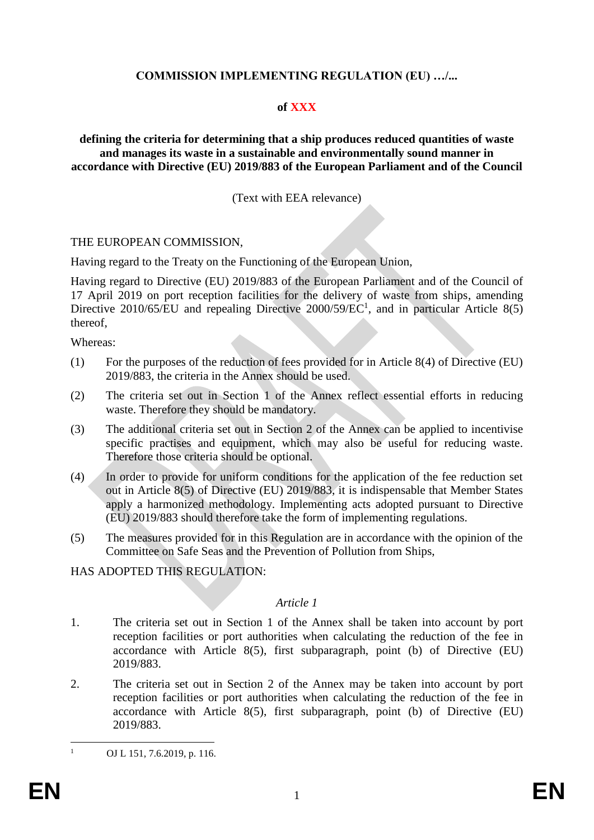## **COMMISSION IMPLEMENTING REGULATION (EU) …/...**

#### **of XXX**

#### **defining the criteria for determining that a ship produces reduced quantities of waste and manages its waste in a sustainable and environmentally sound manner in accordance with Directive (EU) 2019/883 of the European Parliament and of the Council**

#### (Text with EEA relevance)

#### THE EUROPEAN COMMISSION,

Having regard to the Treaty on the Functioning of the European Union,

Having regard to Directive (EU) 2019/883 of the European Parliament and of the Council of 17 April 2019 on port reception facilities for the delivery of waste from ships, amending Directive 2010/65/EU and repealing Directive 2000/59/EC<sup>1</sup>, and in particular Article 8(5) thereof,

Whereas:

- (1) For the purposes of the reduction of fees provided for in Article 8(4) of Directive (EU) 2019/883, the criteria in the Annex should be used.
- (2) The criteria set out in Section 1 of the Annex reflect essential efforts in reducing waste. Therefore they should be mandatory.
- (3) The additional criteria set out in Section 2 of the Annex can be applied to incentivise specific practises and equipment, which may also be useful for reducing waste. Therefore those criteria should be optional.
- (4) In order to provide for uniform conditions for the application of the fee reduction set out in Article 8(5) of Directive (EU) 2019/883, it is indispensable that Member States apply a harmonized methodology. Implementing acts adopted pursuant to Directive (EU) 2019/883 should therefore take the form of implementing regulations.
- (5) The measures provided for in this Regulation are in accordance with the opinion of the Committee on Safe Seas and the Prevention of Pollution from Ships,

## HAS ADOPTED THIS REGULATION:

#### *Article 1*

- 1. The criteria set out in Section 1 of the Annex shall be taken into account by port reception facilities or port authorities when calculating the reduction of the fee in accordance with Article 8(5), first subparagraph, point (b) of Directive (EU) 2019/883.
- 2. The criteria set out in Section 2 of the Annex may be taken into account by port reception facilities or port authorities when calculating the reduction of the fee in accordance with Article 8(5), first subparagraph, point (b) of Directive (EU) 2019/883.

 $\mathbf{1}$ 

OJ L 151, 7.6.2019, p. 116.